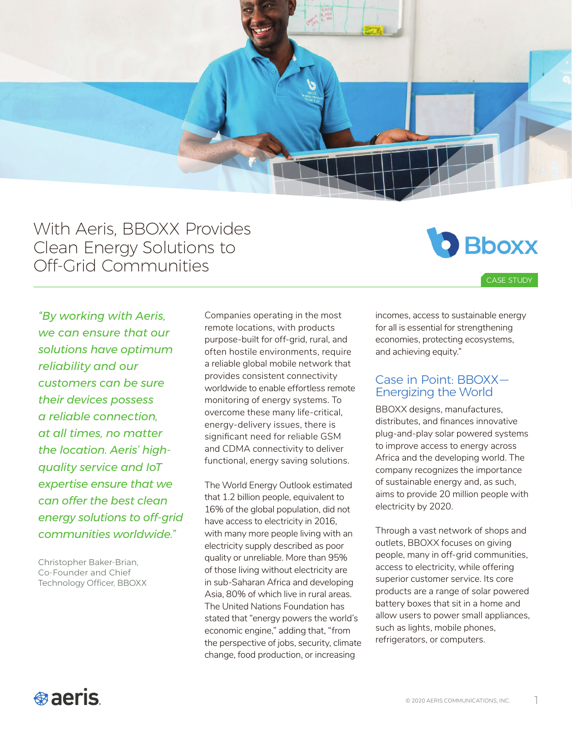

With Aeris, BBOXX Provides Clean Energy Solutions to Off-Grid Communities



CASE STUDY

*"By working with Aeris, we can ensure that our solutions have optimum reliability and our customers can be sure their devices possess a reliable connection, at all times, no matter the location. Aeris' highquality service and IoT expertise ensure that we can offer the best clean energy solutions to off-grid communities worldwide."* 

Christopher Baker-Brian, Co-Founder and Chief Technology Officer, BBOXX

Companies operating in the most remote locations, with products purpose-built for off-grid, rural, and often hostile environments, require a reliable global mobile network that provides consistent connectivity worldwide to enable effortless remote monitoring of energy systems. To overcome these many life-critical, energy-delivery issues, there is significant need for reliable GSM and CDMA connectivity to deliver functional, energy saving solutions.

The World Energy Outlook estimated that 1.2 billion people, equivalent to 16% of the global population, did not have access to electricity in 2016, with many more people living with an electricity supply described as poor quality or unreliable. More than 95% of those living without electricity are in sub-Saharan Africa and developing Asia, 80% of which live in rural areas. The United Nations Foundation has stated that "energy powers the world's economic engine," adding that, "from the perspective of jobs, security, climate change, food production, or increasing

incomes, access to sustainable energy for all is essential for strengthening economies, protecting ecosystems, and achieving equity."

#### Case in Point: BBOXX— Energizing the World

BBOXX designs, manufactures, distributes, and finances innovative plug-and-play solar powered systems to improve access to energy across Africa and the developing world. The company recognizes the importance of sustainable energy and, as such, aims to provide 20 million people with electricity by 2020.

Through a vast network of shops and outlets, BBOXX focuses on giving people, many in off-grid communities, access to electricity, while offering superior customer service. Its core products are a range of solar powered battery boxes that sit in a home and allow users to power small appliances, such as lights, mobile phones, refrigerators, or computers.

# **Baeris**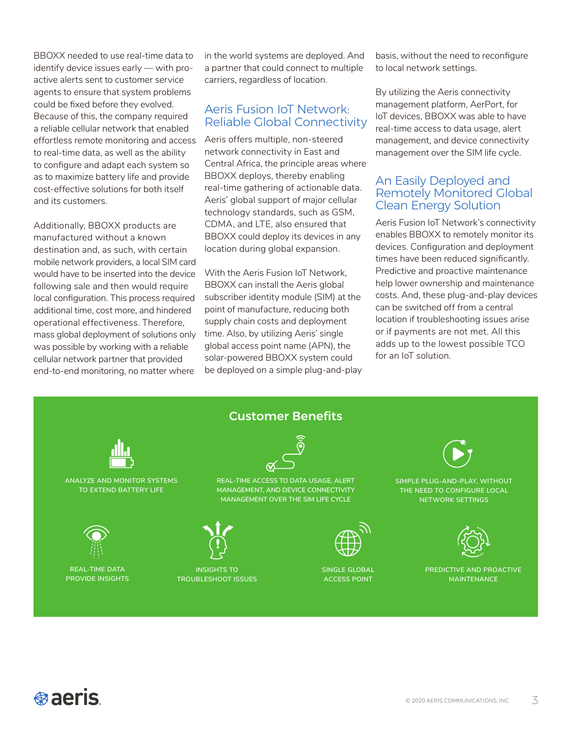BBOXX needed to use real-time data to identify device issues early — with proactive alerts sent to customer service agents to ensure that system problems could be fixed before they evolved. Because of this, the company required a reliable cellular network that enabled effortless remote monitoring and access to real-time data, as well as the ability to configure and adapt each system so as to maximize battery life and provide cost-effective solutions for both itself and its customers.

Additionally, BBOXX products are manufactured without a known destination and, as such, with certain mobile network providers, a local SIM card would have to be inserted into the device following sale and then would require local configuration. This process required additional time, cost more, and hindered operational effectiveness. Therefore, mass global deployment of solutions only was possible by working with a reliable cellular network partner that provided end-to-end monitoring, no matter where

in the world systems are deployed. And a partner that could connect to multiple carriers, regardless of location.

## Aeris Fusion IoT Network: Reliable Global Connectivity

Aeris offers multiple, non-steered network connectivity in East and Central Africa, the principle areas where BBOXX deploys, thereby enabling real-time gathering of actionable data. Aeris' global support of major cellular technology standards, such as GSM, CDMA, and LTE, also ensured that BBOXX could deploy its devices in any location during global expansion.

With the Aeris Fusion IoT Network, BBOXX can install the Aeris global subscriber identity module (SIM) at the point of manufacture, reducing both supply chain costs and deployment time. Also, by utilizing Aeris' single global access point name (APN), the solar-powered BBOXX system could be deployed on a simple plug-and-play basis, without the need to reconfigure to local network settings.

By utilizing the Aeris connectivity management platform, AerPort, for IoT devices, BBOXX was able to have real-time access to data usage, alert management, and device connectivity management over the SIM life cycle.

#### An Easily Deployed and Remotely Monitored Global Clean Energy Solution

Aeris Fusion IoT Network's connectivity enables BBOXX to remotely monitor its devices. Configuration and deployment times have been reduced significantly. Predictive and proactive maintenance help lower ownership and maintenance costs. And, these plug-and-play devices can be switched off from a central location if troubleshooting issues arise or if payments are not met. All this adds up to the lowest possible TCO for an IoT solution.